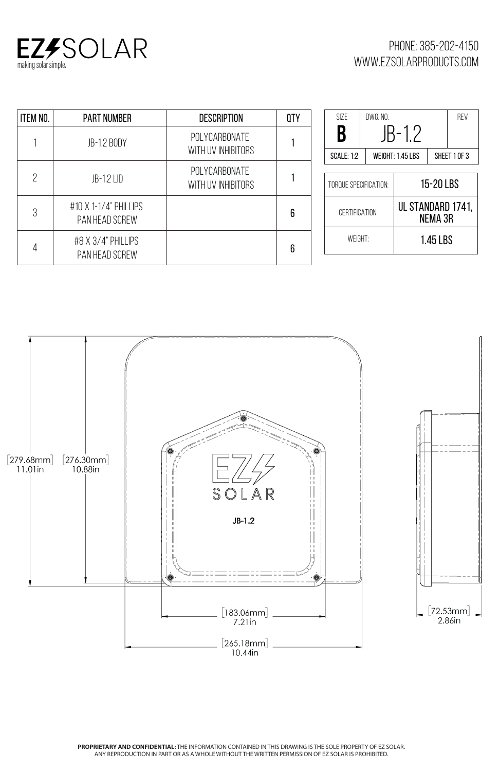

**PROPRIETARY AND CONFIDENTIAL:** THE INFORMATION CONTAINED IN THIS DRAWING IS THE SOLE PROPERTY OF EZ SOLAR. ANY REPRODUCTION IN PART OR AS A WHOLE WITHOUT THE WRITTEN PERMISSION OF EZ SOLAR IS PROHIBITED.

| <b>ITEM NO.</b>          | <b>PART NUMBER</b>                      | <b>DESCRIPTION</b>                  | <b>OTY</b> | <b>SIZE</b>       |
|--------------------------|-----------------------------------------|-------------------------------------|------------|-------------------|
|                          | <b>JB-1.2 BODY</b>                      | POLYCARBONATE<br>WITH UV INHIBITORS |            | B<br><b>SCALE</b> |
| $\overline{\phantom{0}}$ | JB-1.2 LID                              | POLYCARBONATE<br>WITH UV INHIBITORS |            | TORQUE            |
| 3                        | #10 X 1-1/4" PHILLIPS<br>PAN HEAD SCREW |                                     | 6          | CEF               |
| 4                        | #8 X 3/4" PHILLIPS<br>PAN HEAD SCREW    |                                     | 6          |                   |



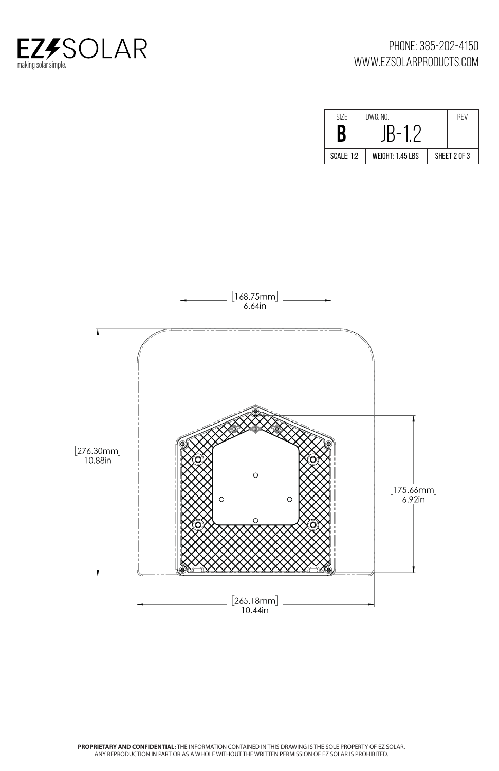

## **PROPRIETARY AND CONFIDENTIAL:** THE INFORMATION CONTAINED IN THIS DRAWING IS THE SOLE PROPERTY OF EZ SOLAR. ANY REPRODUCTION IN PART OR AS A WHOLE WITHOUT THE WRITTEN PERMISSION OF EZ SOLAR IS PROHIBITED.

| SI7F              | DWG. NO.         |              | REV |
|-------------------|------------------|--------------|-----|
| D,<br>Ū           |                  |              |     |
| <b>SCALE: 1:2</b> | WEIGHT: 1.45 LBS | SHEET 2 OF 3 |     |